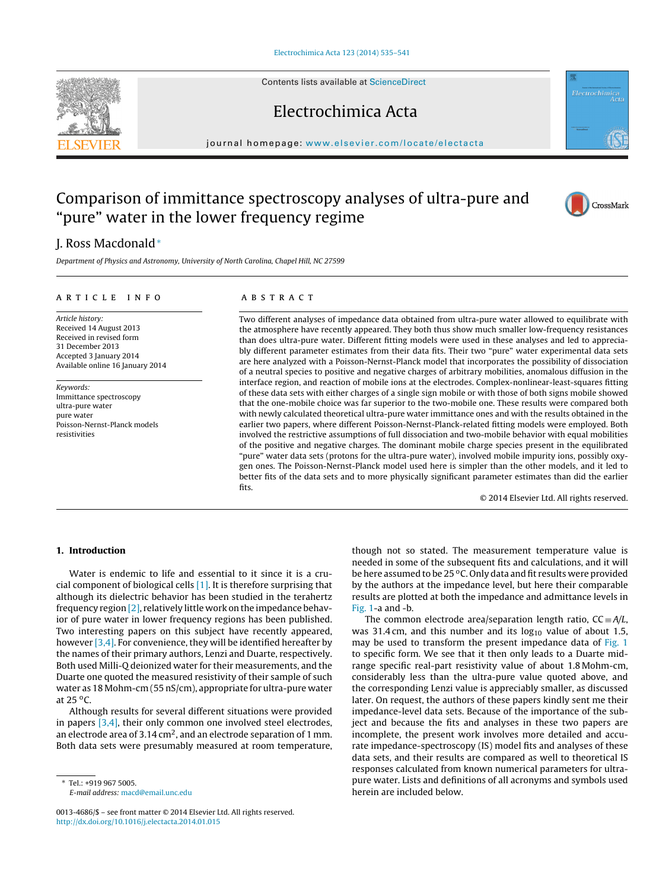Contents lists available at [ScienceDirect](http://www.sciencedirect.com/science/journal/00134686)





iournal homepage: [www.elsevier.com/locate/electacta](http://www.elsevier.com/locate/electacta)

Electrochimica Acta

# Comparison of immittance spectroscopy analyses of ultra-pure and "pure" water in the lower frequency regime



# J. Ross Macdonald<sup>∗</sup>

Department of Physics and Astronomy, University of North Carolina, Chapel Hill, NC 27599

# ARTICLE INFO

Article history: Received 14 August 2013 Received in revised form 31 December 2013 Accepted 3 January 2014 Available online 16 January 2014

Keywords: Immittance spectroscopy ultra-pure water pure water Poisson-Nernst-Planck models resistivities

# A B S T R A C T

Two different analyses of impedance data obtained from ultra-pure water allowed to equilibrate with the atmosphere have recently appeared. They both thus show much smaller low-frequency resistances than does ultra-pure water. Different fitting models were used in these analyses and led to appreciably different parameter estimates from their data fits. Their two "pure" water experimental data sets are here analyzed with a Poisson-Nernst-Planck model that incorporates the possibility of dissociation of a neutral species to positive and negative charges of arbitrary mobilities, anomalous diffusion in the interface region, and reaction of mobile ions at the electrodes. Complex-nonlinear-least-squares fitting of these data sets with either charges of a single sign mobile or with those of both signs mobile showed that the one-mobile choice was far superior to the two-mobile one. These results were compared both with newly calculated theoretical ultra-pure water immittance ones and with the results obtained in the earlier two papers, where different Poisson-Nernst-Planck-related fitting models were employed. Both involved the restrictive assumptions of full dissociation and two-mobile behavior with equal mobilities of the positive and negative charges. The dominant mobile charge species present in the equilibrated "pure" water data sets (protons for the ultra-pure water), involved mobile impurity ions, possibly oxygen ones. The Poisson-Nernst-Planck model used here is simpler than the other models, and it led to better fits of the data sets and to more physically significant parameter estimates than did the earlier fits.

© 2014 Elsevier Ltd. All rights reserved.

# **1. Introduction**

Water is endemic to life and essential to it since it is a crucial component of biological cells [\[1\].](#page-6-0) It is therefore surprising that although its dielectric behavior has been studied in the terahertz frequency region [\[2\],](#page-6-0) relatively little work on the impedance behavior of pure water in lower frequency regions has been published. Two interesting papers on this subject have recently appeared, however [\[3,4\].](#page-6-0) For convenience, they will be identified hereafter by the names of their primary authors, Lenzi and Duarte, respectively. Both used Milli-Q deionized water for their measurements, and the Duarte one quoted the measured resistivity of their sample of such water as 18 Mohm-cm (55 nS/cm), appropriate for ultra-pure water at  $25^{\circ}$ C.

Although results for several different situations were provided in papers [\[3,4\],](#page-6-0) their only common one involved steel electrodes, an electrode area of  $3.14 \text{ cm}^2$ , and an electrode separation of 1 mm. Both data sets were presumably measured at room temperature,

Tel·+919 967 5005 E-mail address: [macd@email.unc.edu](mailto:macd@email.unc.edu)

0013-4686/\$ – see front matter © 2014 Elsevier Ltd. All rights reserved. [http://dx.doi.org/10.1016/j.electacta.2014.01.015](dx.doi.org/10.1016/j.electacta.2014.01.015)

though not so stated. The measurement temperature value is needed in some of the subsequent fits and calculations, and it will be here assumed to be 25 °C. Only data and fit results were provided by the authors at the impedance level, but here their comparable results are plotted at both the impedance and admittance levels in [Fig.](#page-1-0) 1-a and -b.

The common electrode area/separation length ratio,  $CC \equiv A/L$ , was 31.4 cm, and this number and its  $log_{10}$  value of about 1.5, may be used to transform the present impedance data of [Fig.](#page-1-0) 1 to specific form. We see that it then only leads to a Duarte midrange specific real-part resistivity value of about 1.8 Mohm-cm, considerably less than the ultra-pure value quoted above, and the corresponding Lenzi value is appreciably smaller, as discussed later. On request, the authors of these papers kindly sent me their impedance-level data sets. Because of the importance of the subject and because the fits and analyses in these two papers are incomplete, the present work involves more detailed and accurate impedance-spectroscopy (IS) model fits and analyses of these data sets, and their results are compared as well to theoretical IS responses calculated from known numerical parameters for ultrapure water. Lists and definitions of all acronyms and symbols used herein are included below.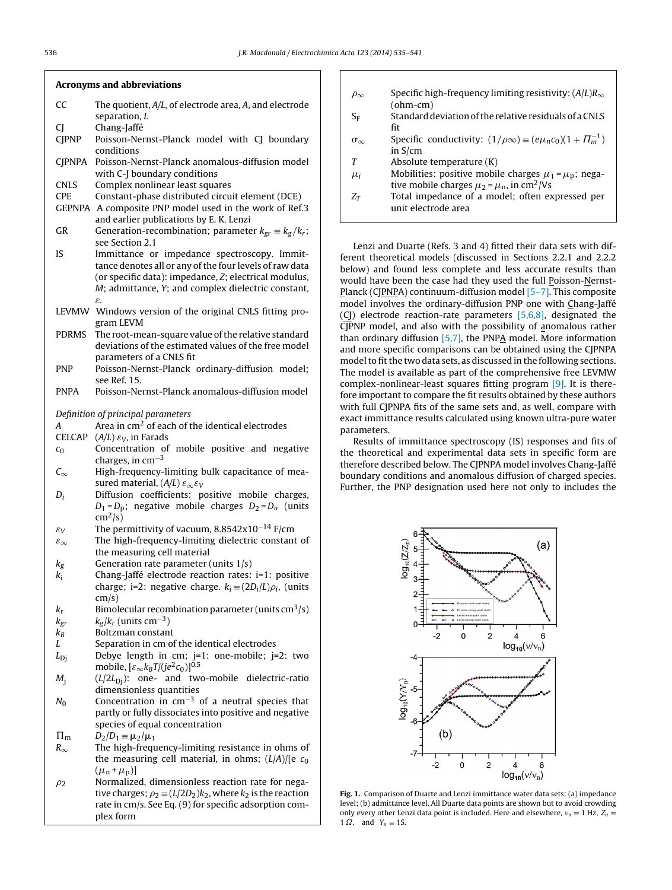#### <span id="page-1-0"></span>**Acronyms and abbreviations**

- CC The quotient, A/L, of electrode area, A, and electrode separation, L
- CJ Chang-Jaffé<br>CJPNP Poisson-Ner Poisson-Nernst-Planck model with CJ boundary conditions
- CJPNPA Poisson-Nernst-Planck anomalous-diffusion model with C-J boundary conditions
- CNLS Complex nonlinear least squares
- CPE Constant-phase distributed circuit element (DCE)
- GEPNPA A composite PNP model used in the work of Ref.3 and earlier publications by E. K. Lenzi
- GR Generation-recombination; parameter  $k_{gr} \equiv k_g / k_r$ ; see Section 2.1
- IS Immittance or impedance spectroscopy. Immittance denotes all or any of the four levels of raw data (or specific data): impedance, Z; electrical modulus, M; admittance, Y; and complex dielectric constant,
- ε. LEVMW Windows version of the original CNLS fitting program LEVM
- PDRMS The root-mean-square value of the relative standard deviations of the estimated values of the free model parameters of a CNLS fit
- PNP Poisson-Nernst-Planck ordinary-diffusion model; see Ref. 15.
- PNPA Poisson-Nernst-Planck anomalous-diffusion model

Definition of principal parameters

- $A$  Area in cm<sup>2</sup> of each of the identical electrodes **CELCAP** (*A/L*)  $\varepsilon_V$ , in Farads<br>*c*<sub>0</sub> **Concentration** of
- Concentration of mobile positive and negative charges, in cm−<sup>3</sup>
- $C_{\infty}$  High-frequency-limiting bulk capacitance of measured material, (A/L)  $\varepsilon_{\infty} \varepsilon_{V}$
- $D_i$  Diffusion coefficients: positive mobile charges,  $D_1 = D_p$ ; negative mobile charges  $D_2 = D_n$  (units  $cm<sup>2</sup>/s$ )
- 
- $\varepsilon_V$  The permittivity of vacuum, 8.8542x10<sup>-14</sup> F/cm<br>The high-frequency-limiting dielectric constant The high-frequency-limiting dielectric constant of the measuring cell material
- $k_g$  Generation rate parameter (units  $1/s$ )
- $k_i$  Chang-Jaffé electrode reaction rates: i=1: positive charge; i=2: negative charge.  $k_i = (2D_i/L)\rho_i$ , (units cm/s)
- $k_{\rm r}$  Bimolecular recombination parameter (units cm<sup>3</sup>/s)
- $k_{gr}$  kg/k<sub>r</sub> (units cm<sup>-3</sup>)
- $k_B$  Boltzman constant<br>  $L$  Separation in cm of
- Separation in cm of the identical electrodes
- $L_{\text{Dj}}$  Debye length in cm; j=1: one-mobile; j=2: two mobile,  $[\varepsilon_{\infty} k_B T/(j e^2 c_0)]^{0.5}$
- $M_i$  ( $L/2L_{Di}$ ): one- and two-mobile dielectric-ratio dimensionless quantities
- $N_0$  Concentration in cm<sup>-3</sup> of a neutral species that partly or fully dissociates into positive and negative species of equal concentration
- $\Pi_{\rm m}$   $D_2/D_1 \equiv \mu_2/\mu_1$ <br>P The bigh frequ
- $R_{\infty}$  The high-frequency-limiting resistance in ohms of the measuring cell material, in ohms;  $(L/A)/[e\ c_0]$  $(\mu_{\rm n} + \mu_{\rm p})$ ]
- $\rho_2$  Normalized, dimensionless reaction rate for negative charges;  $\rho_2 \equiv (L/2D_2)k_2$ , where  $k_2$  is the reaction rate in cm/s. See Eq. (9) for specific adsorption complex form
- $\rho_{\infty}$  Specific high-frequency limiting resistivity:  $(A/L)R_{\infty}$ (ohm-cm)
- $S_F$  Standard deviation of the relative residuals of a CNLS fit
- $\sigma_{\infty}$  Specific conductivity:  $(1/\rho_{\infty}) \equiv (e\mu_n c_0)(1 + \Pi_m^{-1})$ in S/cm
- T Absolute temperature (K)
- $\mu_i$  Mobilities: positive mobile charges  $\mu_1 = \mu_p$ ; negative mobile charges  $\mu_2 = \mu_n$ , in cm<sup>2</sup>/Vs
- $Z_T$  Total impedance of a model; often expressed per unit electrode area

Lenzi and Duarte (Refs. 3 and 4) fitted their data sets with different theoretical models (discussed in Sections 2.2.1 and 2.2.2 below) and found less complete and less accurate results than would have been the case had they used the full Poisson-Nernst-Planck (CJPNPA) continuum-diffusion model [\[5–7\].](#page-6-0) This composite model involves the ordinary-diffusion PNP one with Chang-Jaffé (CJ) electrode reaction-rate parameters [\[5,6,8\],](#page-6-0) designated the  $C\overline{IP}NP$  model, and also with the possibility of anomalous rather than ordinary diffusion [\[5,7\],](#page-6-0) the PNPA model. More information and more specific comparisons can be obtained using the CJPNPA model to fit the two data sets, as discussed in the following sections. The model is available as part of the comprehensive free LEVMW complex-nonlinear-least squares fitting program [\[9\].](#page-6-0) It is therefore important to compare the fit results obtained by these authors with full CJPNPA fits of the same sets and, as well, compare with exact immittance results calculated using known ultra-pure water parameters.

Results of immittance spectroscopy (IS) responses and fits of the theoretical and experimental data sets in specific form are therefore described below. The CJPNPA model involves Chang-Jaffé boundary conditions and anomalous diffusion of charged species. Further, the PNP designation used here not only to includes the



**Fig. 1.** Comparison of Duarte and Lenzi immittance water data sets: (a) impedance level; (b) admittance level. All Duarte data points are shown but to avoid crowding only every other Lenzi data point is included. Here and elsewhere,  $v_n \equiv 1$  Hz,  $Z_n \equiv$ 1  $\Omega$ , and  $Y_n \equiv 1$ S.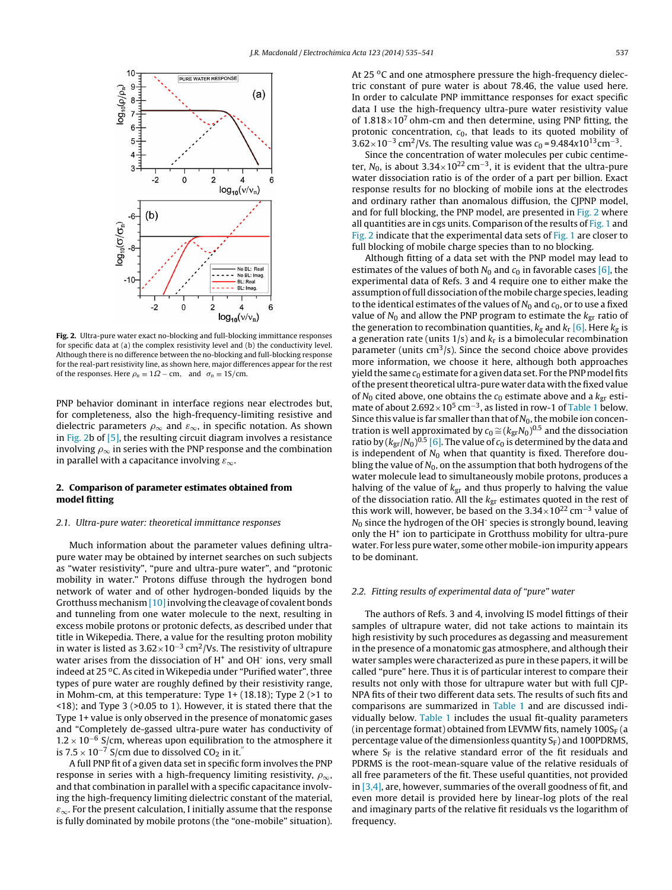

**Fig. 2.** Ultra-pure water exact no-blocking and full-blocking immittance responses for specific data at (a) the complex resistivity level and (b) the conductivity level. Although there is no difference between the no-blocking and full-blocking response for the real-part resistivity line, as shown here, major differences appear for the rest of the responses. Here  $\rho_n \equiv 1\Omega - \text{cm}$ , and  $\sigma_n \equiv 1S/\text{cm}$ .

PNP behavior dominant in interface regions near electrodes but, for completeness, also the high-frequency-limiting resistive and dielectric parameters  $\rho_{\infty}$  and  $\varepsilon_{\infty}$ , in specific notation. As shown in Fig. 2b of [\[5\],](#page-6-0) the resulting circuit diagram involves a resistance involving  $\rho_{\infty}$  in series with the PNP response and the combination in parallel with a capacitance involving  $\varepsilon_{\infty}$ .

# **2. Comparison of parameter estimates obtained from model fitting**

#### 2.1. Ultra-pure water: theoretical immittance responses

Much information about the parameter values defining ultrapure water may be obtained by internet searches on such subjects as "water resistivity", "pure and ultra-pure water", and "protonic mobility in water." Protons diffuse through the hydrogen bond network of water and of other hydrogen-bonded liquids by the Grotthuss mechanism  $[10]$  involving the cleavage of covalent bonds and tunneling from one water molecule to the next, resulting in excess mobile protons or protonic defects, as described under that title in Wikepedia. There, a value for the resulting proton mobility in water is listed as  $3.62\times10^{-3}$  cm<sup>2</sup>/Vs. The resistivity of ultrapure water arises from the dissociation of H<sup>+</sup> and OH<sup>-</sup> ions, very small indeed at 25 °C. As cited in Wikepedia under "Purified water", three types of pure water are roughly defined by their resistivity range, in Mohm-cm, at this temperature: Type 1+ (18.18); Type 2 (>1 to <18); and Type 3 (>0.05 to 1). However, it is stated there that the Type 1+ value is only observed in the presence of monatomic gases and "Completely de-gassed ultra-pure water has conductivity of  $1.2 \times 10^{-6}$  S/cm, whereas upon equilibration to the atmosphere it is 7.5 × 10<sup>-7</sup> S/cm due to dissolved CO<sub>2</sub> in it.<sup>"</sup>

A full PNP fit of a given data set in specific form involves the PNP response in series with a high-frequency limiting resistivity,  $\rho_{\infty}$ , and that combination in parallel with a specific capacitance involving the high-frequency limiting dielectric constant of the material,  $\varepsilon_{\infty}$ . For the present calculation, I initially assume that the response is fully dominated by mobile protons (the "one-mobile" situation). At 25 °C and one atmosphere pressure the high-frequency dielectric constant of pure water is about 78.46, the value used here. In order to calculate PNP immittance responses for exact specific data I use the high-frequency ultra-pure water resistivity value of  $1.818 \times 10^7$  ohm-cm and then determine, using PNP fitting, the protonic concentration,  $c_0$ , that leads to its quoted mobility of  $3.62\times10^{-3}$  cm<sup>2</sup>/Vs. The resulting value was  $c_0 = 9.484 \times 10^{13}$  cm<sup>-3</sup>.

Since the concentration of water molecules per cubic centimeter,  $N_0$ , is about 3.34×10<sup>22</sup> cm<sup>-3</sup>, it is evident that the ultra-pure water dissociation ratio is of the order of a part per billion. Exact response results for no blocking of mobile ions at the electrodes and ordinary rather than anomalous diffusion, the CJPNP model, and for full blocking, the PNP model, are presented in Fig. 2 where all quantities are in cgs units. Comparison of the results of [Fig.](#page-1-0) 1 and Fig. 2 indicate that the experimental data sets of [Fig.](#page-1-0) 1 are closer to full blocking of mobile charge species than to no blocking.

Although fitting of a data set with the PNP model may lead to estimates of the values of both  $N_0$  and  $c_0$  in favorable cases [\[6\],](#page-6-0) the experimental data of Refs. 3 and 4 require one to either make the assumption of full dissociation of the mobile charge species, leading to the identical estimates of the values of  $N_0$  and  $c_0$ , or to use a fixed value of  $N_0$  and allow the PNP program to estimate the  $k_{\text{gr}}$  ratio of the generation to recombination quantities,  $k_g$  and  $k_r$  [\[6\].](#page-6-0) Here  $k_g$  is a generation rate (units  $1/s$ ) and  $k_r$  is a bimolecular recombination parameter (units  $\text{cm}^3/\text{s}$ ). Since the second choice above provides more information, we choose it here, although both approaches yield the same  $c_0$  estimate for a given data set. For the PNP model fits of the present theoretical ultra-pure water data with the fixed value of  $N_0$  cited above, one obtains the  $c_0$  estimate above and a  $k_{\text{gr}}$  estimate of about  $2.692 \times 10^5$  cm<sup>-3</sup>, as listed in row-1 of [Table](#page-3-0) 1 below. Since this value is far smaller than that of  $N_0$ , the mobile ion concentration is well approximated by  $c_0 \cong (k_{gr}N_0)^{0.5}$  and the dissociation ratio by  $(k_{\rm gr}/N_0)^{0.5}$  [\[6\].](#page-6-0) The value of  $c_0$  is determined by the data and is independent of  $N_0$  when that quantity is fixed. Therefore doubling the value of  $N_0$ , on the assumption that both hydrogens of the water molecule lead to simultaneously mobile protons, produces a halving of the value of  $k_{\text{gr}}$  and thus properly to halving the value of the dissociation ratio. All the  $k_{gr}$  estimates quoted in the rest of this work will, however, be based on the  $3.34\times10^{22}$  cm<sup>-3</sup> value of  $N_0$  since the hydrogen of the OH<sup>-</sup> species is strongly bound, leaving only the H<sup>+</sup> ion to participate in Grotthuss mobility for ultra-pure water. For less pure water, some other mobile-ion impurity appears to be dominant.

#### 2.2. Fitting results of experimental data of "pure" water

The authors of Refs. 3 and 4, involving IS model fittings of their samples of ultrapure water, did not take actions to maintain its high resistivity by such procedures as degassing and measurement in the presence of a monatomic gas atmosphere, and although their water samples were characterized as pure in these papers, it will be called "pure" here. Thus it is of particular interest to compare their results not only with those for ultrapure water but with full CJP-NPA fits of their two different data sets. The results of such fits and comparisons are summarized in [Table](#page-3-0) 1 and are discussed individually below. [Table](#page-3-0) 1 includes the usual fit-quality parameters (in percentage format) obtained from LEVMW fits, namely  $100S_F$  (a percentage value of the dimensionless quantity  $S_F$ ) and 100PDRMS, where  $S_F$  is the relative standard error of the fit residuals and PDRMS is the root-mean-square value of the relative residuals of all free parameters of the fit. These useful quantities, not provided in [\[3,4\],](#page-6-0) are, however, summaries of the overall goodness of fit, and even more detail is provided here by linear-log plots of the real and imaginary parts of the relative fit residuals vs the logarithm of frequency.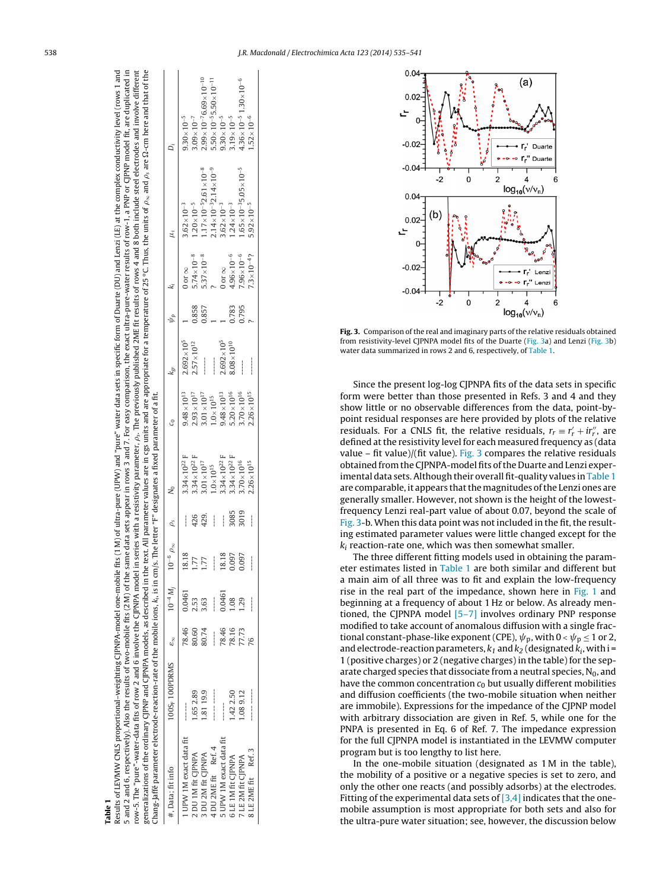<span id="page-3-0"></span>

| $10^{-6}$ $\rho_{\infty}$ $\rho_{\rm c}$<br>$10^{-4} M_i$<br>$00SE$ 100PDRMS<br>#. Data: fit info |
|---------------------------------------------------------------------------------------------------|
|                                                                                                   |
|                                                                                                   |

**Table 1**

| rest control of the control of the control of the control of the control of the control of the control of the control of the control of the control of the control of the control of the control of the control of the control |                                                                              |          |          |                      |                            |                                                                          |                                                                                                 |                       |                     |                        |                                             |                                              |
|--------------------------------------------------------------------------------------------------------------------------------------------------------------------------------------------------------------------------------|------------------------------------------------------------------------------|----------|----------|----------------------|----------------------------|--------------------------------------------------------------------------|-------------------------------------------------------------------------------------------------|-----------------------|---------------------|------------------------|---------------------------------------------|----------------------------------------------|
| Data; fit info                                                                                                                                                                                                                 | $100$ S <sub>F</sub> 100PDRMS $\varepsilon_{\infty}$ $10^{-4} M_j$ $10^{-6}$ |          |          |                      | $\rho_{\infty}$ $\rho_{s}$ | $\lambda$                                                                | G                                                                                               |                       |                     |                        |                                             |                                              |
| 1 UPW 1M exact data fit                                                                                                                                                                                                        | $\frac{1}{2}$                                                                | 78.46    | 0.0461   | ∞<br>$\frac{81}{18}$ |                            | $34 \times 10^{22}$ F                                                    | $9.48 \times 10^{13}$                                                                           | $2.692 \times 10^{5}$ |                     | 0 or $\infty$          | $.62 \times 10^{-3}$                        | $0.30 \times 10^{-5}$                        |
| 2 DU 1M fit CJPNPA                                                                                                                                                                                                             | 1.652.89                                                                     | 80.60    | 2.53     | 1.77                 |                            |                                                                          |                                                                                                 | $2.57 \times 10^{12}$ |                     | $5.74 \times 10^{-8}$  | $1.20 \times 10^{-5}$                       | $.09\times10^{-7}$                           |
| 3 DU 2M fit CJPNPA                                                                                                                                                                                                             | 1.8119.9                                                                     | 80.74    | 3.63     | 77                   | 429.                       |                                                                          |                                                                                                 | $\frac{1}{2}$         | 0.858<br>0.857<br>1 | $5.37 \times 10^{-8}$  | $1.17 \times 10^{-5}$ 2.61×10 <sup>-8</sup> | $2.99 \times 10^{-7}$ 6.69 $\times 10^{-10}$ |
| 4 DU 2ME fit Ref. 4                                                                                                                                                                                                            |                                                                              | $\vdots$ | $\vdots$ | ļ                    |                            | $3.34 \times 10^{22}$ F<br>$3.01 \times 10^{17}$<br>$1.0 \times 10^{15}$ | $2.93 \times 10^{17}$<br>$3.01 \times 10^{15}$<br>$1.0 \times 10^{15}$<br>$9.48 \times 10^{13}$ | $\frac{1}{2}$         |                     |                        | $1.14\times10^{-3}$ 2.14×10 <sup>-9</sup>   | $5.50 \times 10^{-5}$ $5.50 \times 10^{-11}$ |
| 5 UPW 1M exact data fit                                                                                                                                                                                                        | $\vdots$                                                                     | 78.46    | 0.0461   | 181                  | ļ                          | $34 \times 10^{22}$ F                                                    |                                                                                                 | $2.692 \times 10^{5}$ |                     | $0r \infty$            | $3.62\times10^{-3}$                         | $9.30\times10^{-5}$                          |
| 6 LE 1M fit CJPNPA                                                                                                                                                                                                             | .422.50                                                                      | 78.16    | 1.08     | 0.097                | 3085                       | $34 \times 10^{22}$ F                                                    | $.20 \times 10^{16}$                                                                            | $3.08\times10^{10}$   | 0.783               | $4.96 \times 10^{-6}$  | $.24 \times 10^{-3}$                        | $19 \times 10^{-5}$                          |
| 7 LE 2M fit CJPNPA                                                                                                                                                                                                             | 1.089.12                                                                     | 77.73    | 1.29     | <b>0.097</b>         | 3019                       | $1.70 \times 10^{16}$                                                    | $.70\times10^{16}$                                                                              |                       | 0.795               | $7.96\times10^{-6}$    | $.65 \times 10^{-3}$ 5.05×10 <sup>-5</sup>  | $4.36\times10^{-5}$ $1.30\times10^{-6}$      |
| 8 LE 2ME fit Ref. 3                                                                                                                                                                                                            |                                                                              |          |          |                      |                            | $26 \times 10^{15}$                                                      | $2.26 \times 10^{15}$                                                                           |                       |                     | $7.3 \times 10^{-4}$ ? | $5.92 \times 10^{-5}$                       | $1.52 \times 10^{-6}$                        |
|                                                                                                                                                                                                                                |                                                                              |          |          |                      |                            |                                                                          |                                                                                                 |                       |                     |                        |                                             |                                              |



**Fig. 3.** Comparison of the real and imaginary parts of the relative residuals obtained from resistivity-level CJPNPA model fits of the Duarte (Fig. 3a) and Lenzi (Fig. 3b) water data summarized in rows 2 and 6, respectively, of Table 1.

Since the present log-log CJPNPA fits of the data sets in specific form were better than those presented in Refs. 3 and 4 and they show little or no observable differences from the data, point-bypoint residual responses are here provided by plots of the relative residuals. For a CNLS fit, the relative residuals,  $r_r \equiv r'_r + ir''_r$ , are<br>defined at the resistivity level for each measured frequency as (data defined at the resistivity level for each measured frequency as (data value – fit value)/(fit value). Fig. 3 compares the relative residuals obtained from the CJPNPA-model fits of the Duarte and Lenzi experimental data sets. Although their overall fit-quality values in Table 1 are comparable, it appears that the magnitudes of the Lenzi ones are generally smaller. However, not shown is the height of the lowestfrequency Lenzi real-part value of about 0.07, beyond the scale of Fig. 3-b. When this data point was not included in the fit, the resulting estimated parameter values were little changed except for the  $k_i$  reaction-rate one, which was then somewhat smaller.

The three different fitting models used in obtaining the parameter estimates listed in Table 1 are both similar and different but a main aim of all three was to fit and explain the low-frequency rise in the real part of the impedance, shown here in [Fig.](#page-1-0) 1 and beginning at a frequency of about 1 Hz or below. As already mentioned, the CJPNPA model [\[5–7\]](#page-6-0) involves ordinary PNP response modified to take account of anomalous diffusion with a single fractional constant-phase-like exponent (CPE),  $\psi_p$ , with  $0 < \psi_p \leq 1$  or 2, and electrode-reaction parameters,  $k_1$  and  $k_2$  (designated  $k_i$ , with i = 1 (positive charges) or 2 (negative charges) in the table) for the separate charged species that dissociate from a neutral species,  $N_0$ , and have the common concentration  $\mathfrak{c}_0$  but usually different mobilities and diffusion coefficients (the two-mobile situation when neither are immobile). Expressions for the impedance of the CJPNP model with arbitrary dissociation are given in Ref. 5, while one for the PNPA is presented in Eq. 6 of Ref. 7. The impedance expression for the full CJPNPA model is instantiated in the LEVMW computer program but is too lengthy to list here.

In the one-mobile situation (designated as 1 M in the table), the mobility of a positive or a negative species is set to zero, and only the other one reacts (and possibly adsorbs) at the electrodes. Fitting of the experimental data sets of  $[3,4]$  indicates that the onemobile assumption is most appropriate for both sets and also for the ultra-pure water situation; see, however, the discussion below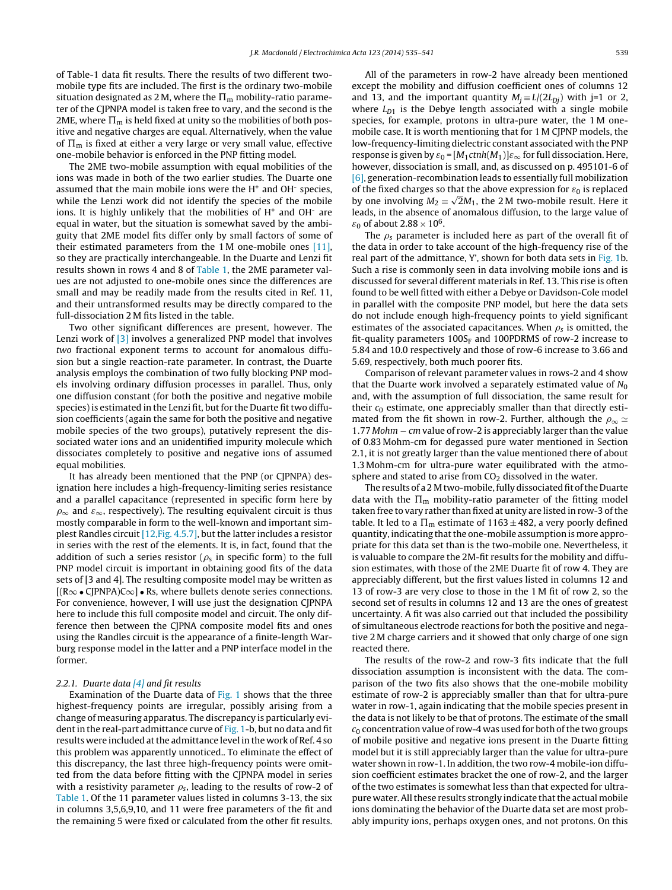of Table-1 data fit results. There the results of two different twomobile type fits are included. The first is the ordinary two-mobile situation designated as 2 M, where the  $\Pi_m$  mobility-ratio parameter of the CJPNPA model is taken free to vary, and the second is the 2ME, where  $\Pi_{\rm m}$  is held fixed at unity so the mobilities of both positive and negative charges are equal. Alternatively, when the value of  $\Pi_m$  is fixed at either a very large or very small value, effective one-mobile behavior is enforced in the PNP fitting model.

The 2ME two-mobile assumption with equal mobilities of the ions was made in both of the two earlier studies. The Duarte one assumed that the main mobile ions were the  $H<sup>+</sup>$  and OH $<sup>-</sup>$  species,</sup> while the Lenzi work did not identify the species of the mobile ions. It is highly unlikely that the mobilities of  $H^+$  and OH $^-$  are equal in water, but the situation is somewhat saved by the ambiguity that 2ME model fits differ only by small factors of some of their estimated parameters from the 1 M one-mobile ones [\[11\],](#page-6-0) so they are practically interchangeable. In the Duarte and Lenzi fit results shown in rows 4 and 8 of [Table](#page-3-0) 1, the 2ME parameter values are not adjusted to one-mobile ones since the differences are small and may be readily made from the results cited in Ref. 11, and their untransformed results may be directly compared to the full-dissociation 2 M fits listed in the table.

Two other significant differences are present, however. The Lenzi work of [\[3\]](#page-6-0) involves a generalized PNP model that involves two fractional exponent terms to account for anomalous diffusion but a single reaction-rate parameter. In contrast, the Duarte analysis employs the combination of two fully blocking PNP models involving ordinary diffusion processes in parallel. Thus, only one diffusion constant (for both the positive and negative mobile species) is estimated in the Lenzi fit, but for the Duarte fit two diffusion coefficients (again the same for both the positive and negative mobile species of the two groups), putatively represent the dissociated water ions and an unidentified impurity molecule which dissociates completely to positive and negative ions of assumed equal mobilities.

It has already been mentioned that the PNP (or CJPNPA) designation here includes a high-frequency-limiting series resistance and a parallel capacitance (represented in specific form here by  $\rho_{\infty}$  and  $\varepsilon_{\infty}$ , respectively). The resulting equivalent circuit is thus mostly comparable in form to the well-known and important simplest Randles circuit [\[12,Fig.](#page-6-0) [4.5.7\],](#page-6-0) but the latter includes a resistor in series with the rest of the elements. It is, in fact, found that the addition of such a series resistor ( $\rho_s$  in specific form) to the full PNP model circuit is important in obtaining good fits of the data sets of [3 and 4]. The resulting composite model may be written as [(R∞ • CJPNPA)C∞] • Rs, where bullets denote series connections. For convenience, however, I will use just the designation CJPNPA here to include this full composite model and circuit. The only difference then between the CJPNA composite model fits and ones using the Randles circuit is the appearance of a finite-length Warburg response model in the latter and a PNP interface model in the former.

#### 2.2.1. Duarte data  $[4]$  and fit results

Examination of the Duarte data of  $Fig. 1$  $Fig. 1$  shows that the three highest-frequency points are irregular, possibly arising from a change of measuring apparatus. The discrepancy is particularly evi-dent in the real-part admittance curve of [Fig.](#page-1-0) 1-b, but no data and fit results were included atthe admittance level in the work of Ref. 4 so this problem was apparently unnoticed.. To eliminate the effect of this discrepancy, the last three high-frequency points were omitted from the data before fitting with the CJPNPA model in series with a resistivity parameter  $\rho_s$ , leading to the results of row-2 of [Table](#page-3-0) 1. Of the 11 parameter values listed in columns 3-13, the six in columns 3,5,6,9,10, and 11 were free parameters of the fit and the remaining 5 were fixed or calculated from the other fit results.

All of the parameters in row-2 have already been mentioned except the mobility and diffusion coefficient ones of columns 12 and 13, and the important quantity  $M_i \equiv L/(2L_{Di})$  with j=1 or 2, where  $L_{D1}$  is the Debye length associated with a single mobile species, for example, protons in ultra-pure water, the 1 M onemobile case. It is worth mentioning that for 1 M CJPNP models, the low-frequency-limiting dielectric constant associated with the PNP response is given by  $\varepsilon_0 = [M_1 \text{ctnh}(M_1)] \varepsilon_\infty$  for full dissociation. Here, however, dissociation is small, and, as discussed on p. 495101-6 of [\[6\],](#page-6-0) generation-recombination leads to essentially full mobilization of the fixed charges so that the above expression for  $\varepsilon_0$  is replaced by one involving  $M_2 = \sqrt{2}M_1$ , the 2 M two-mobile result. Here it leads in the absence of appropriate diffusion to the large value of leads, in the absence of anomalous diffusion, to the large value of  $\varepsilon_0$  of about 2.88  $\times$  10<sup>6</sup>.

The  $\rho_s$  parameter is included here as part of the overall fit of the data in order to take account of the high-frequency rise of the real part of the admittance, Y', shown for both data sets in [Fig.](#page-1-0) 1b. Such a rise is commonly seen in data involving mobile ions and is discussed for several different materials in Ref. 13. This rise is often found to be well fitted with either a Debye or Davidson-Cole model in parallel with the composite PNP model, but here the data sets do not include enough high-frequency points to yield significant estimates of the associated capacitances. When  $\rho_s$  is omitted, the fit-quality parameters  $100S_F$  and  $100PDRMS$  of row-2 increase to 5.84 and 10.0 respectively and those of row-6 increase to 3.66 and 5.69, respectively, both much poorer fits.

Comparison of relevant parameter values in rows-2 and 4 show that the Duarte work involved a separately estimated value of  $N_0$ and, with the assumption of full dissociation, the same result for their  $c_0$  estimate, one appreciably smaller than that directly estimated from the fit shown in row-2. Further, although the  $\rho_{\infty} \simeq$ 1.77 Mohm − cm value of row-2 is appreciably larger than the value of 0.83 Mohm-cm for degassed pure water mentioned in Section 2.1, it is not greatly larger than the value mentioned there of about 1.3 Mohm-cm for ultra-pure water equilibrated with the atmosphere and stated to arise from  $CO<sub>2</sub>$  dissolved in the water.

The results of a 2 M two-mobile, fully dissociated fit of the Duarte data with the  $\Pi_m$  mobility-ratio parameter of the fitting model taken free to vary rather than fixed at unity are listed in row-3 of the table. It led to a  $\Pi_m$  estimate of 1163  $\pm$  482, a very poorly defined quantity, indicating that the one-mobile assumption is more appropriate for this data set than is the two-mobile one. Nevertheless, it is valuable to compare the 2M-fit results for the mobility and diffusion estimates, with those of the 2ME Duarte fit of row 4. They are appreciably different, but the first values listed in columns 12 and 13 of row-3 are very close to those in the 1 M fit of row 2, so the second set of results in columns 12 and 13 are the ones of greatest uncertainty. A fit was also carried out that included the possibility of simultaneous electrode reactions for both the positive and negative 2 M charge carriers and it showed that only charge of one sign reacted there.

The results of the row-2 and row-3 fits indicate that the full dissociation assumption is inconsistent with the data. The comparison of the two fits also shows that the one-mobile mobility estimate of row-2 is appreciably smaller than that for ultra-pure water in row-1, again indicating that the mobile species present in the data is not likely to be that of protons. The estimate of the small  $c_0$  concentration value of row-4 was used for both of the two groups of mobile positive and negative ions present in the Duarte fitting model but it is still appreciably larger than the value for ultra-pure water shown in row-1. In addition, the two row-4 mobile-ion diffusion coefficient estimates bracket the one of row-2, and the larger of the two estimates is somewhat less than that expected for ultrapure water. All these results strongly indicate that the actual mobile ions dominating the behavior of the Duarte data set are most probably impurity ions, perhaps oxygen ones, and not protons. On this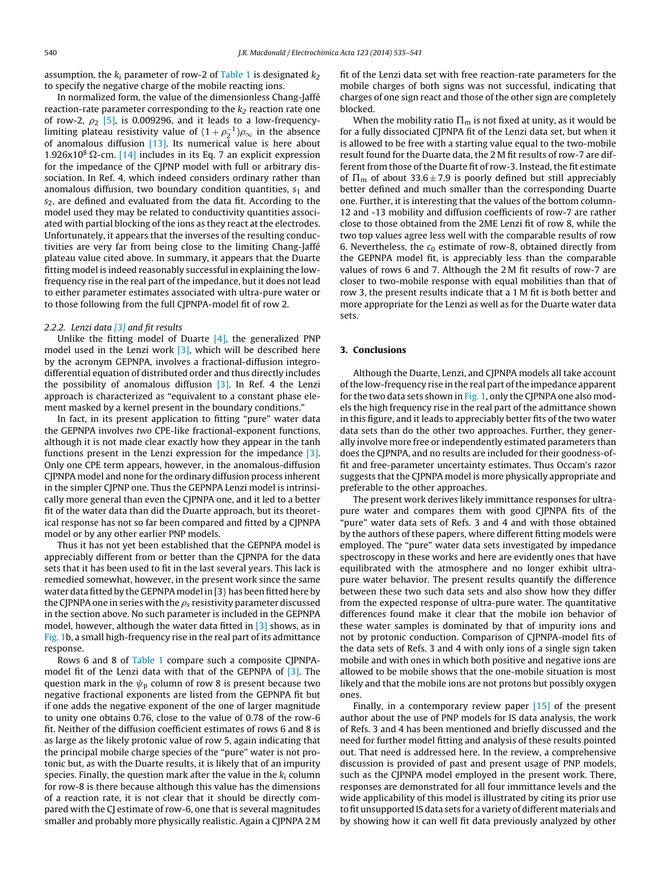assumption, the  $k_i$  parameter of row-2 of [Table](#page-3-0) 1 is designated  $k_2$ to specify the negative charge of the mobile reacting ions.

In normalized form, the value of the dimensionless Chang-Jaffé reaction-rate parameter corresponding to the  $k_2$  reaction rate one of row-2,  $\rho_2$  [\[5\],](#page-6-0) is 0.009296, and it leads to a low-frequencylimiting plateau resistivity value of  $(1+\rho_2^{-1})\rho_\infty$  in the absence of approach value is bere about of anomalous diffusion  $[13]$ . Its numerical value is here about 1.926x10<sup>8</sup>  $\Omega$ -cm. [\[14\]](#page-6-0) includes in its Eq. 7 an explicit expression for the impedance of the CJPNP model with full or arbitrary dissociation. In Ref. 4, which indeed considers ordinary rather than anomalous diffusion, two boundary condition quantities,  $s<sub>1</sub>$  and  $s<sub>2</sub>$ , are defined and evaluated from the data fit. According to the model used they may be related to conductivity quantities associated with partial blocking of the ions as they react at the electrodes. Unfortunately, it appears that the inverses of the resulting conductivities are very far from being close to the limiting Chang-Jaffé plateau value cited above. In summary, it appears that the Duarte fitting model is indeed reasonably successful in explaining the lowfrequency rise in the real part of the impedance, but it does not lead to either parameter estimates associated with ultra-pure water or to those following from the full CJPNPA-model fit of row 2.

#### 2.2.2. Lenzi data  $\left[3\right]$  and fit results

Unlike the fitting model of Duarte  $[4]$ , the generalized PNP model used in the Lenzi work  $[3]$ , which will be described here by the acronym GEPNPA, involves a fractional-diffusion integrodifferential equation of distributed order and thus directly includes the possibility of anomalous diffusion  $[3]$ . In Ref. 4 the Lenzi approach is characterized as "equivalent to a constant phase element masked by a kernel present in the boundary conditions."

In fact, in its present application to fitting "pure" water data the GEPNPA involves two CPE-like fractional-exponent functions, although it is not made clear exactly how they appear in the tanh functions present in the Lenzi expression for the impedance [\[3\].](#page-6-0) Only one CPE term appears, however, in the anomalous-diffusion CJPNPA model and none for the ordinary diffusion process inherent in the simpler CJPNP one. Thus the GEPNPA Lenzi model is intrinsically more general than even the CJPNPA one, and it led to a better fit of the water data than did the Duarte approach, but its theoretical response has not so far been compared and fitted by a CJPNPA model or by any other earlier PNP models.

Thus it has not yet been established that the GEPNPA model is appreciably different from or better than the CJPNPA for the data sets that it has been used to fit in the last several years. This lack is remedied somewhat, however, in the present work since the same water data fitted by the GEPNPA model in  $[3]$  has been fitted here by the CJPNPA one in series with the  $\rho_s$  resistivity parameter discussed in the section above. No such parameter is included in the GEPNPA model, however, although the water data fitted in [\[3\]](#page-6-0) shows, as in [Fig.](#page-1-0) 1b, a small high-frequency rise in the real part of its admittance response.

Rows 6 and 8 of [Table](#page-3-0) 1 compare such a composite CJPNPAmodel fit of the Lenzi data with that of the GEPNPA of [\[3\].](#page-6-0) The question mark in the  $\psi_p$  column of row 8 is present because two negative fractional exponents are listed from the GEPNPA fit but if one adds the negative exponent of the one of larger magnitude to unity one obtains 0.76, close to the value of 0.78 of the row-6 fit. Neither of the diffusion coefficient estimates of rows 6 and 8 is as large as the likely protonic value of row 5, again indicating that the principal mobile charge species of the "pure" water is not protonic but, as with the Duarte results, it is likely that of an impurity species. Finally, the question mark after the value in the  $k_i$  column for row-8 is there because although this value has the dimensions of a reaction rate, it is not clear that it should be directly compared with the CJ estimate of row-6, one that is several magnitudes smaller and probably more physically realistic. Again a CJPNPA 2 M

fit of the Lenzi data set with free reaction-rate parameters for the mobile charges of both signs was not successful, indicating that charges of one sign react and those of the other sign are completely blocked.

When the mobility ratio  $\Pi_m$  is not fixed at unity, as it would be for a fully dissociated CJPNPA fit of the Lenzi data set, but when it is allowed to be free with a starting value equal to the two-mobile result found for the Duarte data, the 2 M fit results of row-7 are different from those of the Duarte fit of row-3. Instead, the fit estimate of  $\Pi_m$  of about 33.6  $\pm$  7.9 is poorly defined but still appreciably better defined and much smaller than the corresponding Duarte one. Further, it is interesting that the values of the bottom column-12 and -13 mobility and diffusion coefficients of row-7 are rather close to those obtained from the 2ME Lenzi fit of row 8, while the two top values agree less well with the comparable results of row 6. Nevertheless, the  $c_0$  estimate of row-8, obtained directly from the GEPNPA model fit, is appreciably less than the comparable values of rows 6 and 7. Although the 2 M fit results of row-7 are closer to two-mobile response with equal mobilities than that of row 3, the present results indicate that a 1 M fit is both better and more appropriate for the Lenzi as well as for the Duarte water data sets.

#### **3. Conclusions**

Although the Duarte, Lenzi, and CJPNPA models all take account of the low-frequency rise in the real part of the impedance apparent for the two data sets shown in [Fig.](#page-1-0) 1, only the CJPNPA one also models the high frequency rise in the real part of the admittance shown in this figure, and it leads to appreciably better fits of the two water data sets than do the other two approaches. Further, they generally involve more free or independently estimated parameters than does the CJPNPA, and no results are included for their goodness-offit and free-parameter uncertainty estimates. Thus Occam's razor suggests that the CJPNPA model is more physically appropriate and preferable to the other approaches.

The present work derives likely immittance responses for ultrapure water and compares them with good CJPNPA fits of the "pure" water data sets of Refs. 3 and 4 and with those obtained by the authors of these papers, where different fitting models were employed. The "pure" water data sets investigated by impedance spectroscopy in these works and here are evidently ones that have equilibrated with the atmosphere and no longer exhibit ultrapure water behavior. The present results quantify the difference between these two such data sets and also show how they differ from the expected response of ultra-pure water. The quantitative differences found make it clear that the mobile ion behavior of these water samples is dominated by that of impurity ions and not by protonic conduction. Comparison of CJPNPA-model fits of the data sets of Refs. 3 and 4 with only ions of a single sign taken mobile and with ones in which both positive and negative ions are allowed to be mobile shows that the one-mobile situation is most likely and that the mobile ions are not protons but possibly oxygen ones.

Finally, in a contemporary review paper [\[15\]](#page-6-0) of the present author about the use of PNP models for IS data analysis, the work of Refs. 3 and 4 has been mentioned and briefly discussed and the need for further model fitting and analysis of these results pointed out. That need is addressed here. In the review, a comprehensive discussion is provided of past and present usage of PNP models, such as the CJPNPA model employed in the present work. There, responses are demonstrated for all four immittance levels and the wide applicability of this model is illustrated by citing its prior use to fit unsupported IS data sets for a variety of different materials and by showing how it can well fit data previously analyzed by other